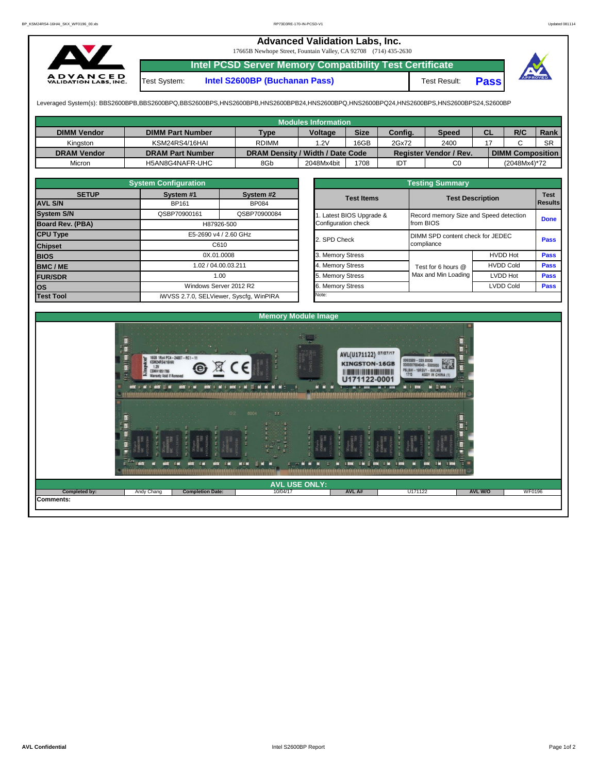## **Advanced Validation Labs, Inc.**

17665B Newhope Street, Fountain Valley, CA 92708 (714) 435-2630



**Intel PCSD Server Memory Compatibility Test Certificate**

Test System: **Intel S2600BP (Buchanan Pass)** Test Result: **Pass**



Leveraged System(s): BBS2600BPB,BBS2600BPQ,BBS2600BPS,HNS2600BPB,HNS2600BPB24,HNS2600BPQ,HNS2600BPQ24,HNS2600BPS,HNS2600BPS24,S2600BP

| Modules Information |                         |                                  |                |             |            |                               |           |                         |           |  |  |  |
|---------------------|-------------------------|----------------------------------|----------------|-------------|------------|-------------------------------|-----------|-------------------------|-----------|--|--|--|
| <b>DIMM Vendor</b>  | <b>DIMM Part Number</b> | <b>Type</b>                      | <b>Voltage</b> | <b>Size</b> | Config.    | <b>Speed</b>                  | <b>CL</b> | R/C                     | Rank      |  |  |  |
| Kinaston            | KSM24RS4/16HAI          | <b>RDIMM</b>                     | .2V            | 16GB        | 2Gx72      | 2400                          |           |                         | <b>SR</b> |  |  |  |
| <b>DRAM Vendor</b>  | <b>DRAM Part Number</b> | DRAM Density / Width / Date Code |                |             |            | <b>Register Vendor / Rev.</b> |           | <b>DIMM Composition</b> |           |  |  |  |
| Micron              | H5AN8G4NAFR-UHC         | 8Gb                              | 2048Mx4bit     | 1708        | <b>IDT</b> | C0                            |           | (2048Mx4)*72            |           |  |  |  |

|                   | <b>System Configuration</b> |                                         |       | <b>Testing Summary</b> |                                        |                  |             |  |  |  |  |  |
|-------------------|-----------------------------|-----------------------------------------|-------|------------------------|----------------------------------------|------------------|-------------|--|--|--|--|--|
| <b>SETUP</b>      | System #1                   | System #2<br><b>BP084</b>               |       | <b>Test Items</b>      | <b>Test Description</b>                |                  |             |  |  |  |  |  |
| <b>AVL S/N</b>    | BP161                       |                                         |       |                        |                                        |                  |             |  |  |  |  |  |
| <b>System S/N</b> | QSBP70900161                | QSBP70900084                            |       | Latest BIOS Upgrade &  | Record memory Size and Speed detection |                  | <b>Done</b> |  |  |  |  |  |
| Board Rev. (PBA)  |                             | H87926-500                              |       | Configuration check    | from BIOS                              |                  |             |  |  |  |  |  |
| <b>CPU Type</b>   | E5-2690 v4 / 2.60 GHz       |                                         |       | 2. SPD Check           | DIMM SPD content check for JEDEC       |                  |             |  |  |  |  |  |
| <b>Chipset</b>    | C610                        |                                         |       | compliance             |                                        |                  |             |  |  |  |  |  |
| <b>BIOS</b>       |                             | 0X.01.0008                              |       | 3. Memory Stress       |                                        | <b>HVDD Hot</b>  | <b>Pass</b> |  |  |  |  |  |
| <b>BMC/ME</b>     | 1.02 / 04.00.03.211         |                                         |       | 4. Memory Stress       | Test for 6 hours @                     | <b>HVDD Cold</b> | <b>Pass</b> |  |  |  |  |  |
| <b>FUR/SDR</b>    |                             | 1.00                                    |       | 5. Memory Stress       | Max and Min Loading                    | LVDD Hot         | <b>Pass</b> |  |  |  |  |  |
| <b>los</b>        |                             | Windows Server 2012 R2                  |       | 6. Memory Stress       |                                        | LVDD Cold        | <b>Pass</b> |  |  |  |  |  |
| <b>Test Tool</b>  |                             | iWVSS 2.7.0, SELViewer, Syscfq, WinPIRA | Note: |                        |                                        |                  |             |  |  |  |  |  |